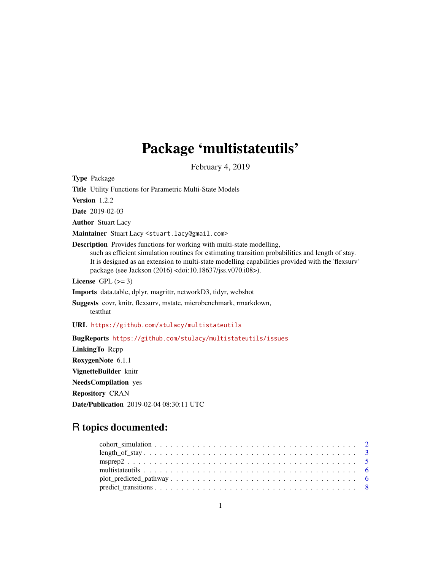# Package 'multistateutils'

February 4, 2019

Type Package

Title Utility Functions for Parametric Multi-State Models

Version 1.2.2

Date 2019-02-03

Author Stuart Lacy

Maintainer Stuart Lacy <stuart.lacy@gmail.com>

Description Provides functions for working with multi-state modelling, such as efficient simulation routines for estimating transition probabilities and length of stay. It is designed as an extension to multi-state modelling capabilities provided with the 'flexsurv' package (see Jackson (2016) <doi:10.18637/jss.v070.i08>).

License GPL  $(>= 3)$ 

Imports data.table, dplyr, magrittr, networkD3, tidyr, webshot

Suggests covr, knitr, flexsurv, mstate, microbenchmark, rmarkdown, testthat

URL <https://github.com/stulacy/multistateutils>

BugReports <https://github.com/stulacy/multistateutils/issues>

LinkingTo Rcpp RoxygenNote 6.1.1 VignetteBuilder knitr NeedsCompilation yes Repository CRAN Date/Publication 2019-02-04 08:30:11 UTC

# R topics documented: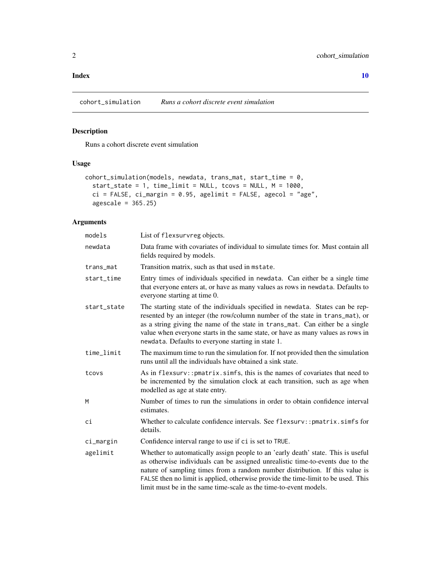#### <span id="page-1-0"></span> $\blacksquare$

cohort\_simulation *Runs a cohort discrete event simulation*

## Description

Runs a cohort discrete event simulation

#### Usage

```
cohort_simulation(models, newdata, trans_mat, start_time = 0,
 start_state = 1, time_limit = NULL, tcovs = NULL, M = 1000,
 ci = FALSE, ci margin = 0.95, agelimit = FALSE, agecol = "age",
 agescale = 365.25)
```
#### Arguments

| models      | List of flexsurvreg objects.                                                                                                                                                                                                                                                                                                                                                                                 |
|-------------|--------------------------------------------------------------------------------------------------------------------------------------------------------------------------------------------------------------------------------------------------------------------------------------------------------------------------------------------------------------------------------------------------------------|
| newdata     | Data frame with covariates of individual to simulate times for. Must contain all<br>fields required by models.                                                                                                                                                                                                                                                                                               |
| trans_mat   | Transition matrix, such as that used in mstate.                                                                                                                                                                                                                                                                                                                                                              |
| start_time  | Entry times of individuals specified in newdata. Can either be a single time<br>that everyone enters at, or have as many values as rows in newdata. Defaults to<br>everyone starting at time 0.                                                                                                                                                                                                              |
| start_state | The starting state of the individuals specified in newdata. States can be rep-<br>resented by an integer (the row/column number of the state in trans_mat), or<br>as a string giving the name of the state in trans_mat. Can either be a single<br>value when everyone starts in the same state, or have as many values as rows in<br>newdata. Defaults to everyone starting in state 1.                     |
| time_limit  | The maximum time to run the simulation for. If not provided then the simulation<br>runs until all the individuals have obtained a sink state.                                                                                                                                                                                                                                                                |
| tcovs       | As in flexsurv:: pmatrix.simfs, this is the names of covariates that need to<br>be incremented by the simulation clock at each transition, such as age when<br>modelled as age at state entry.                                                                                                                                                                                                               |
| М           | Number of times to run the simulations in order to obtain confidence interval<br>estimates.                                                                                                                                                                                                                                                                                                                  |
| сi          | Whether to calculate confidence intervals. See flexsurv:: pmatrix.simfs for<br>details.                                                                                                                                                                                                                                                                                                                      |
| ci_margin   | Confidence interval range to use if ci is set to TRUE.                                                                                                                                                                                                                                                                                                                                                       |
| agelimit    | Whether to automatically assign people to an 'early death' state. This is useful<br>as otherwise individuals can be assigned unrealistic time-to-events due to the<br>nature of sampling times from a random number distribution. If this value is<br>FALSE then no limit is applied, otherwise provide the time-limit to be used. This<br>limit must be in the same time-scale as the time-to-event models. |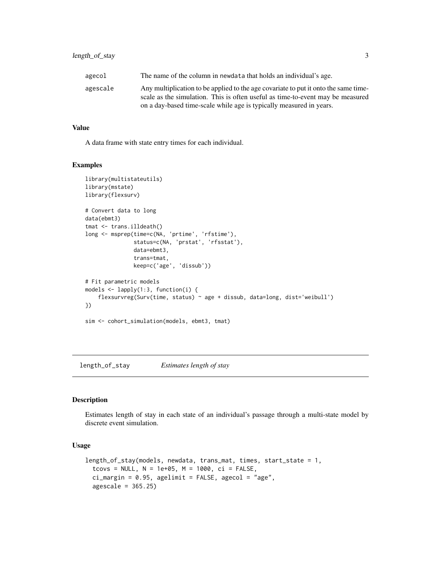<span id="page-2-0"></span>

| agecol   | The name of the column in newdata that holds an individual's age.                                                                                                     |
|----------|-----------------------------------------------------------------------------------------------------------------------------------------------------------------------|
| agescale | Any multiplication to be applied to the age covariate to put it onto the same time-<br>scale as the simulation. This is often useful as time-to-event may be measured |
|          | on a day-based time-scale while age is typically measured in years.                                                                                                   |

#### Value

A data frame with state entry times for each individual.

#### Examples

```
library(multistateutils)
library(mstate)
library(flexsurv)
# Convert data to long
data(ebmt3)
tmat <- trans.illdeath()
long <- msprep(time=c(NA, 'prtime', 'rfstime'),
               status=c(NA, 'prstat', 'rfsstat'),
               data=ebmt3,
               trans=tmat,
               keep=c('age', 'dissub'))
# Fit parametric models
models <- lapply(1:3, function(i) {
    flexsurvreg(Surv(time, status) ~ age + dissub, data=long, dist='weibull')
})
sim <- cohort_simulation(models, ebmt3, tmat)
```
length\_of\_stay *Estimates length of stay*

#### **Description**

Estimates length of stay in each state of an individual's passage through a multi-state model by discrete event simulation.

#### Usage

```
length_of_stay(models, newdata, trans_mat, times, start_state = 1,
  tcovs = NULL, N = 1e+05, M = 1000, ci = FALSE,
  ci_margin = 0.95, agelimit = FALSE, agecol = "age",
  agescale = 365.25)
```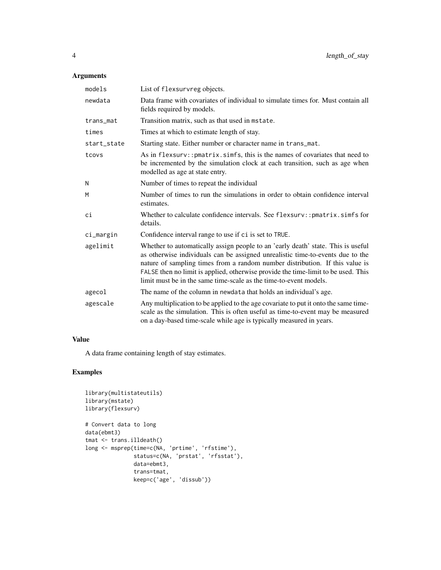#### Arguments

| models      | List of flexsurvreg objects.                                                                                                                                                                                                                                                                                                                                                                                 |
|-------------|--------------------------------------------------------------------------------------------------------------------------------------------------------------------------------------------------------------------------------------------------------------------------------------------------------------------------------------------------------------------------------------------------------------|
| newdata     | Data frame with covariates of individual to simulate times for. Must contain all<br>fields required by models.                                                                                                                                                                                                                                                                                               |
| trans_mat   | Transition matrix, such as that used in mstate.                                                                                                                                                                                                                                                                                                                                                              |
| times       | Times at which to estimate length of stay.                                                                                                                                                                                                                                                                                                                                                                   |
| start_state | Starting state. Either number or character name in trans_mat.                                                                                                                                                                                                                                                                                                                                                |
| tcovs       | As in flexsurv:: pmatrix.simfs, this is the names of covariates that need to<br>be incremented by the simulation clock at each transition, such as age when<br>modelled as age at state entry.                                                                                                                                                                                                               |
| N           | Number of times to repeat the individual                                                                                                                                                                                                                                                                                                                                                                     |
| M           | Number of times to run the simulations in order to obtain confidence interval<br>estimates.                                                                                                                                                                                                                                                                                                                  |
| сi          | Whether to calculate confidence intervals. See flexsurv:: pmatrix.simfs for<br>details.                                                                                                                                                                                                                                                                                                                      |
| ci_margin   | Confidence interval range to use if ci is set to TRUE.                                                                                                                                                                                                                                                                                                                                                       |
| agelimit    | Whether to automatically assign people to an 'early death' state. This is useful<br>as otherwise individuals can be assigned unrealistic time-to-events due to the<br>nature of sampling times from a random number distribution. If this value is<br>FALSE then no limit is applied, otherwise provide the time-limit to be used. This<br>limit must be in the same time-scale as the time-to-event models. |
| agecol      | The name of the column in newdata that holds an individual's age.                                                                                                                                                                                                                                                                                                                                            |
| agescale    | Any multiplication to be applied to the age covariate to put it onto the same time-<br>scale as the simulation. This is often useful as time-to-event may be measured<br>on a day-based time-scale while age is typically measured in years.                                                                                                                                                                 |

#### Value

A data frame containing length of stay estimates.

### Examples

```
library(multistateutils)
library(mstate)
library(flexsurv)
# Convert data to long
data(ebmt3)
tmat <- trans.illdeath()
long <- msprep(time=c(NA, 'prtime', 'rfstime'),
              status=c(NA, 'prstat', 'rfsstat'),
               data=ebmt3,
               trans=tmat,
               keep=c('age', 'dissub'))
```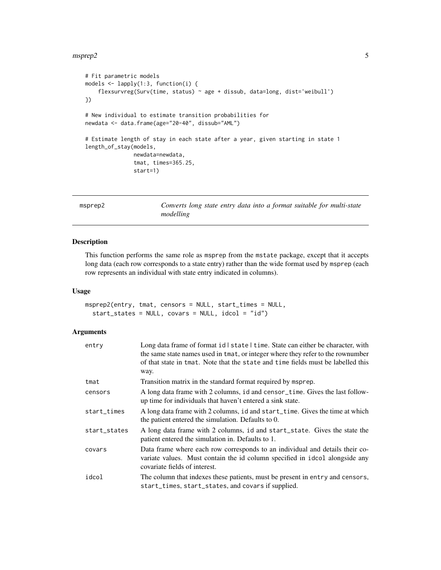#### <span id="page-4-0"></span> $\text{msprep2}$  5

```
# Fit parametric models
models <- lapply(1:3, function(i) {
    flexsurvreg(Surv(time, status) ~ age + dissub, data=long, dist='weibull')
})
# New individual to estimate transition probabilities for
newdata <- data.frame(age="20-40", dissub="AML")
# Estimate length of stay in each state after a year, given starting in state 1
length_of_stay(models,
               newdata=newdata,
               tmat, times=365.25,
               start=1)
```
msprep2 *Converts long state entry data into a format suitable for multi-state modelling*

#### Description

This function performs the same role as msprep from the mstate package, except that it accepts long data (each row corresponds to a state entry) rather than the wide format used by msprep (each row represents an individual with state entry indicated in columns).

#### Usage

```
msprep2(entry, tmat, censors = NULL, start_times = NULL,
  start_states = NULL, covars = NULL, idcol = "id")
```
#### Arguments

| entry        | Long data frame of format id   state   time. State can either be character, with<br>the same state names used in tmat, or integer where they refer to the rownumber<br>of that state in tmat. Note that the state and time fields must be labelled this<br>way. |
|--------------|-----------------------------------------------------------------------------------------------------------------------------------------------------------------------------------------------------------------------------------------------------------------|
| tmat         | Transition matrix in the standard format required by msprep.                                                                                                                                                                                                    |
| censors      | A long data frame with 2 columns, id and censor_time. Gives the last follow-<br>up time for individuals that haven't entered a sink state.                                                                                                                      |
| start_times  | A long data frame with 2 columns, id and start_time. Gives the time at which<br>the patient entered the simulation. Defaults to 0.                                                                                                                              |
| start_states | A long data frame with 2 columns, id and start_state. Gives the state the<br>patient entered the simulation in. Defaults to 1.                                                                                                                                  |
| covars       | Data frame where each row corresponds to an individual and details their co-<br>variate values. Must contain the id column specified in idcol alongside any<br>covariate fields of interest.                                                                    |
| idcol        | The column that indexes these patients, must be present in entry and censors,<br>start_times, start_states, and covars if supplied.                                                                                                                             |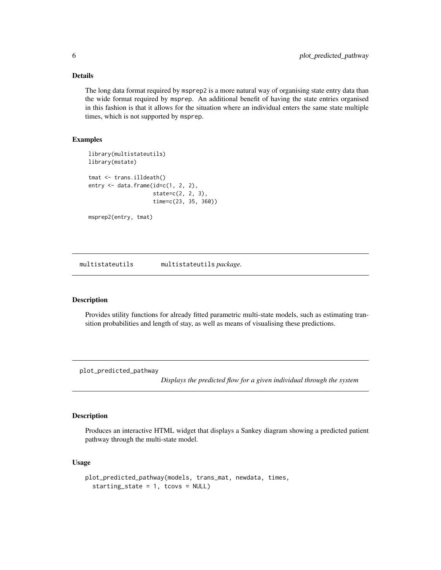#### <span id="page-5-0"></span>Details

The long data format required by msprep2 is a more natural way of organising state entry data than the wide format required by msprep. An additional benefit of having the state entries organised in this fashion is that it allows for the situation where an individual enters the same state multiple times, which is not supported by msprep.

#### Examples

```
library(multistateutils)
library(mstate)
tmat <- trans.illdeath()
entry <- data.frame(id=c(1, 2, 2),
                    state=c(2, 2, 3),
                    time=c(23, 35, 360))
msprep2(entry, tmat)
```
multistateutils multistateutils *package.*

#### **Description**

Provides utility functions for already fitted parametric multi-state models, such as estimating transition probabilities and length of stay, as well as means of visualising these predictions.

plot\_predicted\_pathway

*Displays the predicted flow for a given individual through the system*

#### Description

Produces an interactive HTML widget that displays a Sankey diagram showing a predicted patient pathway through the multi-state model.

#### Usage

```
plot_predicted_pathway(models, trans_mat, newdata, times,
  starting_state = 1, tcovs = NULL)
```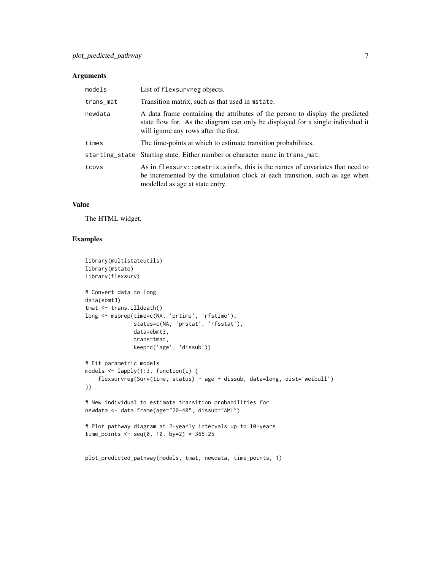#### Arguments

| models    | List of flexsurvreg objects.                                                                                                                                                                              |
|-----------|-----------------------------------------------------------------------------------------------------------------------------------------------------------------------------------------------------------|
| trans_mat | Transition matrix, such as that used in mstate.                                                                                                                                                           |
| newdata   | A data frame containing the attributes of the person to display the predicted<br>state flow for. As the diagram can only be displayed for a single individual it<br>will ignore any rows after the first. |
| times     | The time-points at which to estimate transition probabilities.                                                                                                                                            |
|           | starting_state Starting state. Either number or character name in trans_mat.                                                                                                                              |
| tcovs     | As in flexsurv:: pmatrix. simfs, this is the names of covariates that need to<br>be incremented by the simulation clock at each transition, such as age when<br>modelled as age at state entry.           |

#### Value

The HTML widget.

#### Examples

```
library(multistateutils)
library(mstate)
library(flexsurv)
# Convert data to long
data(ebmt3)
tmat <- trans.illdeath()
long <- msprep(time=c(NA, 'prtime', 'rfstime'),
               status=c(NA, 'prstat', 'rfsstat'),
               data=ebmt3,
               trans=tmat,
               keep=c('age', 'dissub'))
# Fit parametric models
models <- lapply(1:3, function(i) {
    flexsurvreg(Surv(time, status) ~ age + dissub, data=long, dist='weibull')
})
# New individual to estimate transition probabilities for
newdata <- data.frame(age="20-40", dissub="AML")
# Plot pathway diagram at 2-yearly intervals up to 10-years
time_points <- seq(0, 10, by=2) * 365.25
plot_predicted_pathway(models, tmat, newdata, time_points, 1)
```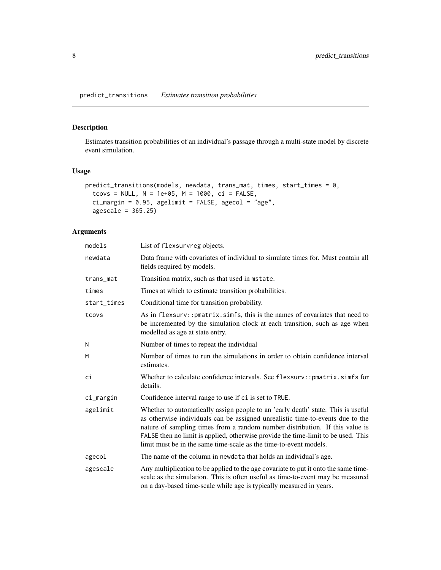#### <span id="page-7-0"></span>Description

Estimates transition probabilities of an individual's passage through a multi-state model by discrete event simulation.

#### Usage

```
predict_transitions(models, newdata, trans_mat, times, start_times = 0,
  tcovs = NULL, N = 1e+05, M = 1000, ci = FALSE,
  ci_margin = 0.95, agelimit = FALSE, agecol = "age",
  agescale = 365.25)
```
#### Arguments

| models      | List of flexsurvreg objects.                                                                                                                                                                                                                                                                                                                                                                                 |
|-------------|--------------------------------------------------------------------------------------------------------------------------------------------------------------------------------------------------------------------------------------------------------------------------------------------------------------------------------------------------------------------------------------------------------------|
| newdata     | Data frame with covariates of individual to simulate times for. Must contain all<br>fields required by models.                                                                                                                                                                                                                                                                                               |
| trans_mat   | Transition matrix, such as that used in mstate.                                                                                                                                                                                                                                                                                                                                                              |
| times       | Times at which to estimate transition probabilities.                                                                                                                                                                                                                                                                                                                                                         |
| start_times | Conditional time for transition probability.                                                                                                                                                                                                                                                                                                                                                                 |
| tcovs       | As in flexsurv:: pmatrix.simfs, this is the names of covariates that need to<br>be incremented by the simulation clock at each transition, such as age when<br>modelled as age at state entry.                                                                                                                                                                                                               |
| N           | Number of times to repeat the individual                                                                                                                                                                                                                                                                                                                                                                     |
| M           | Number of times to run the simulations in order to obtain confidence interval<br>estimates.                                                                                                                                                                                                                                                                                                                  |
| сi          | Whether to calculate confidence intervals. See flexsurv:: pmatrix.simfs for<br>details.                                                                                                                                                                                                                                                                                                                      |
| ci_margin   | Confidence interval range to use if ci is set to TRUE.                                                                                                                                                                                                                                                                                                                                                       |
| agelimit    | Whether to automatically assign people to an 'early death' state. This is useful<br>as otherwise individuals can be assigned unrealistic time-to-events due to the<br>nature of sampling times from a random number distribution. If this value is<br>FALSE then no limit is applied, otherwise provide the time-limit to be used. This<br>limit must be in the same time-scale as the time-to-event models. |
| agecol      | The name of the column in newdata that holds an individual's age.                                                                                                                                                                                                                                                                                                                                            |
| agescale    | Any multiplication to be applied to the age covariate to put it onto the same time-<br>scale as the simulation. This is often useful as time-to-event may be measured<br>on a day-based time-scale while age is typically measured in years.                                                                                                                                                                 |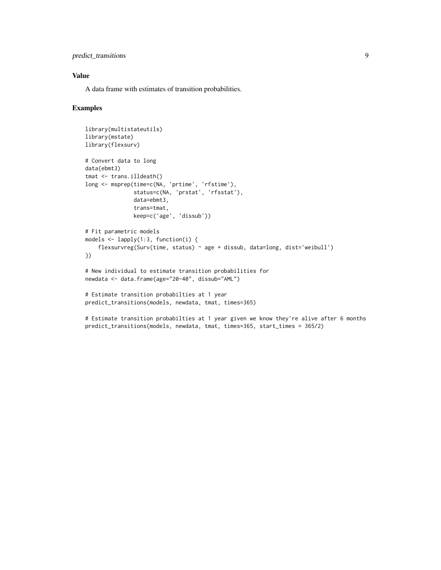#### predict\_transitions 9

#### Value

A data frame with estimates of transition probabilities.

#### Examples

```
library(multistateutils)
library(mstate)
library(flexsurv)
# Convert data to long
data(ebmt3)
tmat <- trans.illdeath()
long <- msprep(time=c(NA, 'prtime', 'rfstime'),
               status=c(NA, 'prstat', 'rfsstat'),
               data=ebmt3,
               trans=tmat,
               keep=c('age', 'dissub'))
# Fit parametric models
models \leq lapply(1:3, function(i) {
    flexsurvreg(Surv(time, status) ~ age + dissub, data=long, dist='weibull')
})
# New individual to estimate transition probabilities for
newdata <- data.frame(age="20-40", dissub="AML")
# Estimate transition probabilties at 1 year
predict_transitions(models, newdata, tmat, times=365)
# Estimate transition probabilties at 1 year given we know they're alive after 6 months
```
predict\_transitions(models, newdata, tmat, times=365, start\_times = 365/2)